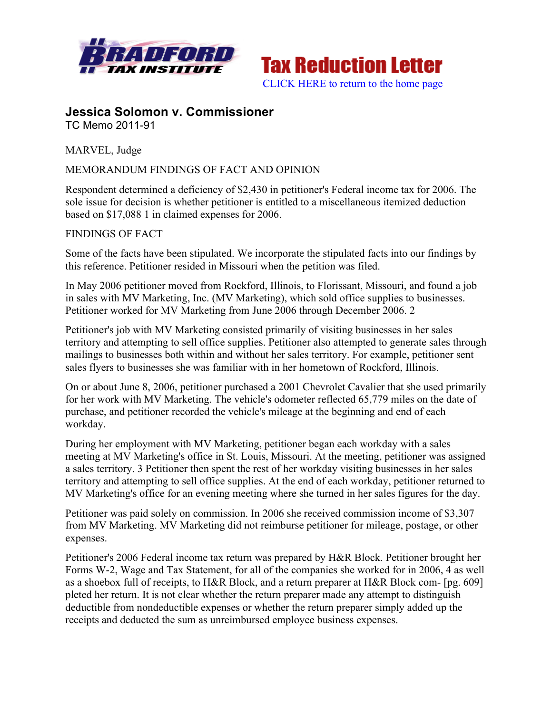



#### **Jessica Solomon v. Commissioner** TC Memo 2011-91

MARVEL, Judge

# MEMORANDUM FINDINGS OF FACT AND OPINION

Respondent determined a deficiency of \$2,430 in petitioner's Federal income tax for 2006. The sole issue for decision is whether petitioner is entitled to a miscellaneous itemized deduction based on \$17,088 1 in claimed expenses for 2006.

### FINDINGS OF FACT

Some of the facts have been stipulated. We incorporate the stipulated facts into our findings by this reference. Petitioner resided in Missouri when the petition was filed.

In May 2006 petitioner moved from Rockford, Illinois, to Florissant, Missouri, and found a job in sales with MV Marketing, Inc. (MV Marketing), which sold office supplies to businesses. Petitioner worked for MV Marketing from June 2006 through December 2006. 2

Petitioner's job with MV Marketing consisted primarily of visiting businesses in her sales territory and attempting to sell office supplies. Petitioner also attempted to generate sales through mailings to businesses both within and without her sales territory. For example, petitioner sent sales flyers to businesses she was familiar with in her hometown of Rockford, Illinois.

On or about June 8, 2006, petitioner purchased a 2001 Chevrolet Cavalier that she used primarily for her work with MV Marketing. The vehicle's odometer reflected 65,779 miles on the date of purchase, and petitioner recorded the vehicle's mileage at the beginning and end of each workday.

During her employment with MV Marketing, petitioner began each workday with a sales meeting at MV Marketing's office in St. Louis, Missouri. At the meeting, petitioner was assigned a sales territory. 3 Petitioner then spent the rest of her workday visiting businesses in her sales territory and attempting to sell office supplies. At the end of each workday, petitioner returned to MV Marketing's office for an evening meeting where she turned in her sales figures for the day.

Petitioner was paid solely on commission. In 2006 she received commission income of \$3,307 from MV Marketing. MV Marketing did not reimburse petitioner for mileage, postage, or other expenses.

Petitioner's 2006 Federal income tax return was prepared by H&R Block. Petitioner brought her Forms W-2, Wage and Tax Statement, for all of the companies she worked for in 2006, 4 as well as a shoebox full of receipts, to H&R Block, and a return preparer at H&R Block com- [pg. 609] pleted her return. It is not clear whether the return preparer made any attempt to distinguish deductible from nondeductible expenses or whether the return preparer simply added up the receipts and deducted the sum as unreimbursed employee business expenses.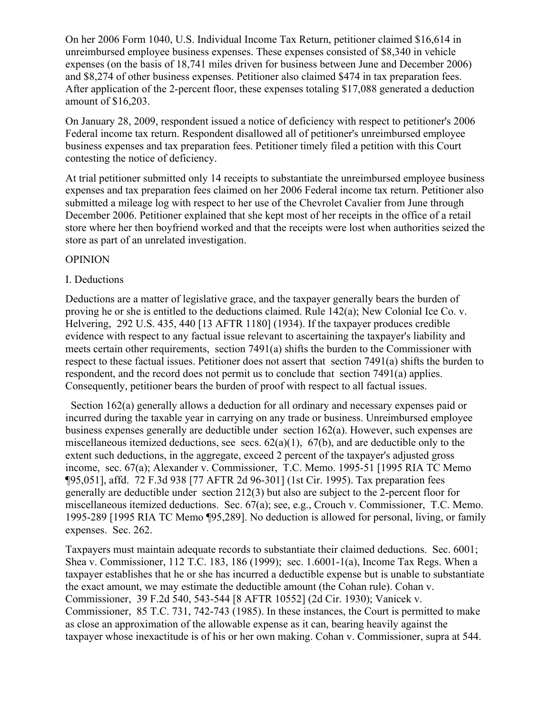On her 2006 Form 1040, U.S. Individual Income Tax Return, petitioner claimed \$16,614 in unreimbursed employee business expenses. These expenses consisted of \$8,340 in vehicle expenses (on the basis of 18,741 miles driven for business between June and December 2006) and \$8,274 of other business expenses. Petitioner also claimed \$474 in tax preparation fees. After application of the 2-percent floor, these expenses totaling \$17,088 generated a deduction amount of \$16,203.

On January 28, 2009, respondent issued a notice of deficiency with respect to petitioner's 2006 Federal income tax return. Respondent disallowed all of petitioner's unreimbursed employee business expenses and tax preparation fees. Petitioner timely filed a petition with this Court contesting the notice of deficiency.

At trial petitioner submitted only 14 receipts to substantiate the unreimbursed employee business expenses and tax preparation fees claimed on her 2006 Federal income tax return. Petitioner also submitted a mileage log with respect to her use of the Chevrolet Cavalier from June through December 2006. Petitioner explained that she kept most of her receipts in the office of a retail store where her then boyfriend worked and that the receipts were lost when authorities seized the store as part of an unrelated investigation.

### OPINION

### I. Deductions

Deductions are a matter of legislative grace, and the taxpayer generally bears the burden of proving he or she is entitled to the deductions claimed. Rule 142(a); New Colonial Ice Co. v. Helvering, 292 U.S. 435, 440 [13 AFTR 1180] (1934). If the taxpayer produces credible evidence with respect to any factual issue relevant to ascertaining the taxpayer's liability and meets certain other requirements, section 7491(a) shifts the burden to the Commissioner with respect to these factual issues. Petitioner does not assert that section 7491(a) shifts the burden to respondent, and the record does not permit us to conclude that section 7491(a) applies. Consequently, petitioner bears the burden of proof with respect to all factual issues.

 Section 162(a) generally allows a deduction for all ordinary and necessary expenses paid or incurred during the taxable year in carrying on any trade or business. Unreimbursed employee business expenses generally are deductible under section 162(a). However, such expenses are miscellaneous itemized deductions, see secs.  $62(a)(1)$ ,  $67(b)$ , and are deductible only to the extent such deductions, in the aggregate, exceed 2 percent of the taxpayer's adjusted gross income, sec. 67(a); Alexander v. Commissioner, T.C. Memo. 1995-51 [1995 RIA TC Memo ¶95,051], affd. 72 F.3d 938 [77 AFTR 2d 96-301] (1st Cir. 1995). Tax preparation fees generally are deductible under section 212(3) but also are subject to the 2-percent floor for miscellaneous itemized deductions. Sec. 67(a); see, e.g., Crouch v. Commissioner, T.C. Memo. 1995-289 [1995 RIA TC Memo ¶95,289]. No deduction is allowed for personal, living, or family expenses. Sec. 262.

Taxpayers must maintain adequate records to substantiate their claimed deductions. Sec. 6001; Shea v. Commissioner, 112 T.C. 183, 186 (1999); sec. 1.6001-1(a), Income Tax Regs. When a taxpayer establishes that he or she has incurred a deductible expense but is unable to substantiate the exact amount, we may estimate the deductible amount (the Cohan rule). Cohan v. Commissioner, 39 F.2d 540, 543-544 [8 AFTR 10552] (2d Cir. 1930); Vanicek v. Commissioner, 85 T.C. 731, 742-743 (1985). In these instances, the Court is permitted to make as close an approximation of the allowable expense as it can, bearing heavily against the taxpayer whose inexactitude is of his or her own making. Cohan v. Commissioner, supra at 544.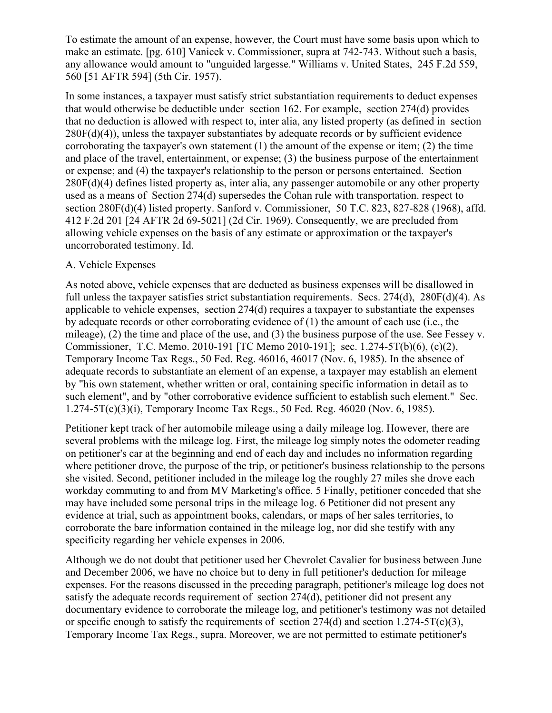To estimate the amount of an expense, however, the Court must have some basis upon which to make an estimate. [pg. 610] Vanicek v. Commissioner, supra at 742-743. Without such a basis, any allowance would amount to "unguided largesse." Williams v. United States, 245 F.2d 559, 560 [51 AFTR 594] (5th Cir. 1957).

In some instances, a taxpayer must satisfy strict substantiation requirements to deduct expenses that would otherwise be deductible under section 162. For example, section 274(d) provides that no deduction is allowed with respect to, inter alia, any listed property (as defined in section 280F(d)(4)), unless the taxpayer substantiates by adequate records or by sufficient evidence corroborating the taxpayer's own statement (1) the amount of the expense or item; (2) the time and place of the travel, entertainment, or expense; (3) the business purpose of the entertainment or expense; and (4) the taxpayer's relationship to the person or persons entertained. Section 280F(d)(4) defines listed property as, inter alia, any passenger automobile or any other property used as a means of Section 274(d) supersedes the Cohan rule with transportation. respect to section 280F(d)(4) listed property. Sanford v. Commissioner, 50 T.C. 823, 827-828 (1968), affd. 412 F.2d 201 [24 AFTR 2d 69-5021] (2d Cir. 1969). Consequently, we are precluded from allowing vehicle expenses on the basis of any estimate or approximation or the taxpayer's uncorroborated testimony. Id.

#### A. Vehicle Expenses

As noted above, vehicle expenses that are deducted as business expenses will be disallowed in full unless the taxpayer satisfies strict substantiation requirements. Secs. 274(d), 280F(d)(4). As applicable to vehicle expenses, section 274(d) requires a taxpayer to substantiate the expenses by adequate records or other corroborating evidence of (1) the amount of each use (i.e., the mileage), (2) the time and place of the use, and (3) the business purpose of the use. See Fessey v. Commissioner, T.C. Memo. 2010-191 [TC Memo 2010-191]; sec. 1.274-5T(b)(6), (c)(2), Temporary Income Tax Regs., 50 Fed. Reg. 46016, 46017 (Nov. 6, 1985). In the absence of adequate records to substantiate an element of an expense, a taxpayer may establish an element by "his own statement, whether written or oral, containing specific information in detail as to such element", and by "other corroborative evidence sufficient to establish such element." Sec. 1.274-5T(c)(3)(i), Temporary Income Tax Regs., 50 Fed. Reg. 46020 (Nov. 6, 1985).

Petitioner kept track of her automobile mileage using a daily mileage log. However, there are several problems with the mileage log. First, the mileage log simply notes the odometer reading on petitioner's car at the beginning and end of each day and includes no information regarding where petitioner drove, the purpose of the trip, or petitioner's business relationship to the persons she visited. Second, petitioner included in the mileage log the roughly 27 miles she drove each workday commuting to and from MV Marketing's office. 5 Finally, petitioner conceded that she may have included some personal trips in the mileage log. 6 Petitioner did not present any evidence at trial, such as appointment books, calendars, or maps of her sales territories, to corroborate the bare information contained in the mileage log, nor did she testify with any specificity regarding her vehicle expenses in 2006.

Although we do not doubt that petitioner used her Chevrolet Cavalier for business between June and December 2006, we have no choice but to deny in full petitioner's deduction for mileage expenses. For the reasons discussed in the preceding paragraph, petitioner's mileage log does not satisfy the adequate records requirement of section 274(d), petitioner did not present any documentary evidence to corroborate the mileage log, and petitioner's testimony was not detailed or specific enough to satisfy the requirements of section  $274(d)$  and section  $1.274-5T(c)(3)$ , Temporary Income Tax Regs., supra. Moreover, we are not permitted to estimate petitioner's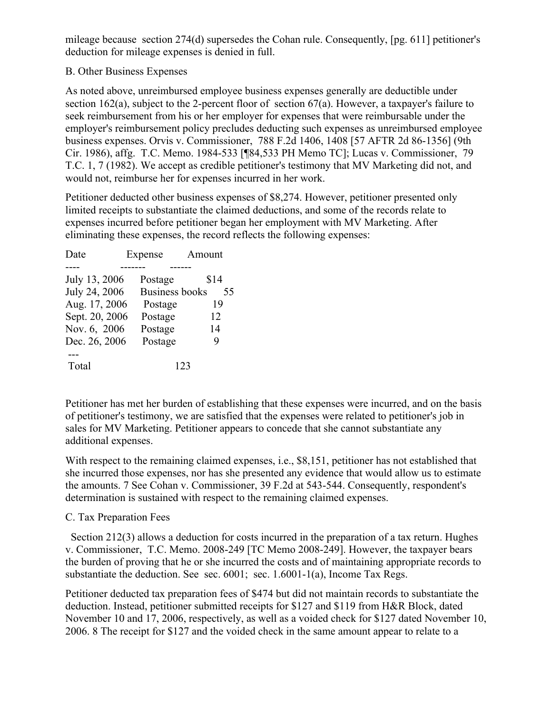mileage because section 274(d) supersedes the Cohan rule. Consequently, [pg. 611] petitioner's deduction for mileage expenses is denied in full.

# B. Other Business Expenses

As noted above, unreimbursed employee business expenses generally are deductible under section 162(a), subject to the 2-percent floor of section 67(a). However, a taxpayer's failure to seek reimbursement from his or her employer for expenses that were reimbursable under the employer's reimbursement policy precludes deducting such expenses as unreimbursed employee business expenses. Orvis v. Commissioner, 788 F.2d 1406, 1408 [57 AFTR 2d 86-1356] (9th Cir. 1986), affg. T.C. Memo. 1984-533 [¶84,533 PH Memo TC]; Lucas v. Commissioner, 79 T.C. 1, 7 (1982). We accept as credible petitioner's testimony that MV Marketing did not, and would not, reimburse her for expenses incurred in her work.

Petitioner deducted other business expenses of \$8,274. However, petitioner presented only limited receipts to substantiate the claimed deductions, and some of the records relate to expenses incurred before petitioner began her employment with MV Marketing. After eliminating these expenses, the record reflects the following expenses:

| Date           | Expense               | Amount |  |
|----------------|-----------------------|--------|--|
|                |                       |        |  |
| July 13, 2006  | Postage               | \$14   |  |
| July 24, 2006  | <b>Business books</b> | 55     |  |
| Aug. 17, 2006  | Postage               | 19     |  |
| Sept. 20, 2006 | Postage               | 12     |  |
| Nov. 6, 2006   | Postage               | 14     |  |
| Dec. 26, 2006  | Postage               | 9      |  |
|                |                       |        |  |
| Total          |                       | 123    |  |

Petitioner has met her burden of establishing that these expenses were incurred, and on the basis of petitioner's testimony, we are satisfied that the expenses were related to petitioner's job in sales for MV Marketing. Petitioner appears to concede that she cannot substantiate any additional expenses.

With respect to the remaining claimed expenses, i.e., \$8,151, petitioner has not established that she incurred those expenses, nor has she presented any evidence that would allow us to estimate the amounts. 7 See Cohan v. Commissioner, 39 F.2d at 543-544. Consequently, respondent's determination is sustained with respect to the remaining claimed expenses.

# C. Tax Preparation Fees

Section 212(3) allows a deduction for costs incurred in the preparation of a tax return. Hughes v. Commissioner, T.C. Memo. 2008-249 [TC Memo 2008-249]. However, the taxpayer bears the burden of proving that he or she incurred the costs and of maintaining appropriate records to substantiate the deduction. See sec. 6001; sec. 1.6001-1(a), Income Tax Regs.

Petitioner deducted tax preparation fees of \$474 but did not maintain records to substantiate the deduction. Instead, petitioner submitted receipts for \$127 and \$119 from H&R Block, dated November 10 and 17, 2006, respectively, as well as a voided check for \$127 dated November 10, 2006. 8 The receipt for \$127 and the voided check in the same amount appear to relate to a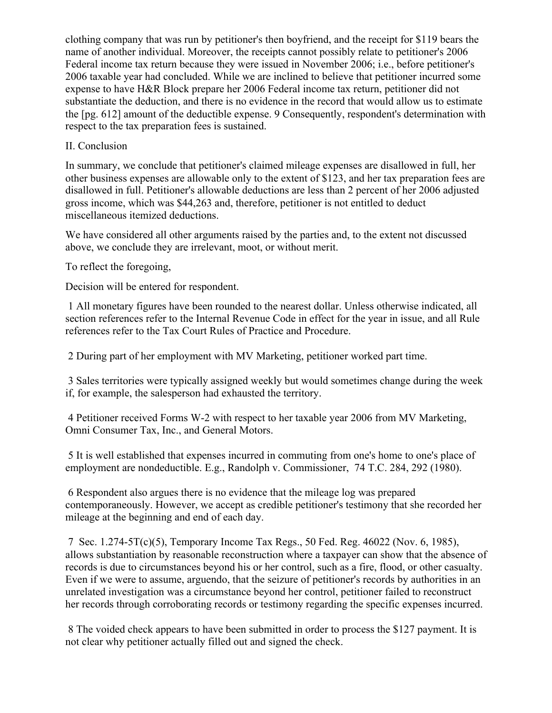clothing company that was run by petitioner's then boyfriend, and the receipt for \$119 bears the name of another individual. Moreover, the receipts cannot possibly relate to petitioner's 2006 Federal income tax return because they were issued in November 2006; i.e., before petitioner's 2006 taxable year had concluded. While we are inclined to believe that petitioner incurred some expense to have H&R Block prepare her 2006 Federal income tax return, petitioner did not substantiate the deduction, and there is no evidence in the record that would allow us to estimate the [pg. 612] amount of the deductible expense. 9 Consequently, respondent's determination with respect to the tax preparation fees is sustained.

## II. Conclusion

In summary, we conclude that petitioner's claimed mileage expenses are disallowed in full, her other business expenses are allowable only to the extent of \$123, and her tax preparation fees are disallowed in full. Petitioner's allowable deductions are less than 2 percent of her 2006 adjusted gross income, which was \$44,263 and, therefore, petitioner is not entitled to deduct miscellaneous itemized deductions.

We have considered all other arguments raised by the parties and, to the extent not discussed above, we conclude they are irrelevant, moot, or without merit.

To reflect the foregoing,

Decision will be entered for respondent.

1 All monetary figures have been rounded to the nearest dollar. Unless otherwise indicated, all section references refer to the Internal Revenue Code in effect for the year in issue, and all Rule references refer to the Tax Court Rules of Practice and Procedure.

2 During part of her employment with MV Marketing, petitioner worked part time.

3 Sales territories were typically assigned weekly but would sometimes change during the week if, for example, the salesperson had exhausted the territory.

4 Petitioner received Forms W-2 with respect to her taxable year 2006 from MV Marketing, Omni Consumer Tax, Inc., and General Motors.

5 It is well established that expenses incurred in commuting from one's home to one's place of employment are nondeductible. E.g., Randolph v. Commissioner, 74 T.C. 284, 292 (1980).

6 Respondent also argues there is no evidence that the mileage log was prepared contemporaneously. However, we accept as credible petitioner's testimony that she recorded her mileage at the beginning and end of each day.

7 Sec. 1.274-5T(c)(5), Temporary Income Tax Regs., 50 Fed. Reg. 46022 (Nov. 6, 1985), allows substantiation by reasonable reconstruction where a taxpayer can show that the absence of records is due to circumstances beyond his or her control, such as a fire, flood, or other casualty. Even if we were to assume, arguendo, that the seizure of petitioner's records by authorities in an unrelated investigation was a circumstance beyond her control, petitioner failed to reconstruct her records through corroborating records or testimony regarding the specific expenses incurred.

8 The voided check appears to have been submitted in order to process the \$127 payment. It is not clear why petitioner actually filled out and signed the check.